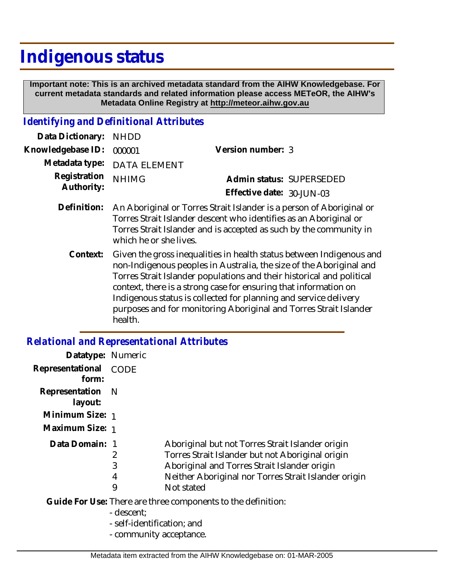# **Indigenous status**

 **Important note: This is an archived metadata standard from the AIHW Knowledgebase. For current metadata standards and related information please access METeOR, the AIHW's Metadata Online Registry at http://meteor.aihw.gov.au**

#### *Identifying and Definitional Attributes*

| Data Dictionary:           | <b>NHDD</b>                                                                                                                                                                                                                               |                                                       |  |
|----------------------------|-------------------------------------------------------------------------------------------------------------------------------------------------------------------------------------------------------------------------------------------|-------------------------------------------------------|--|
| Knowledgebase ID:          | 000001                                                                                                                                                                                                                                    | Version number: 3                                     |  |
| Metadata type:             | <b>DATA ELEMENT</b>                                                                                                                                                                                                                       |                                                       |  |
| Registration<br>Authority: | <b>NHIMG</b>                                                                                                                                                                                                                              | Admin status: SUPERSEDED<br>Effective date: 30-JUN-03 |  |
| Definition:                | An Aboriginal or Torres Strait Islander is a person of Aboriginal or<br>Torres Strait Islander descent who identifies as an Aboriginal or<br>Torres Strait Islander and is accepted as such by the community in<br>which he or she lives. |                                                       |  |
| Context:                   | Given the gross inequalities in health status between Indigenous and<br>non-Indigenous peoples in Australia, the size of the Aboriginal and                                                                                               |                                                       |  |

uigenous peopies in Australia, the size of the Aboriginal and Torres Strait Islander populations and their historical and political context, there is a strong case for ensuring that information on Indigenous status is collected for planning and service delivery purposes and for monitoring Aboriginal and Torres Strait Islander health.

## *Relational and Representational Attributes*

| Datatype: Numeric           |                  |                                                                                                                                                                                                                            |
|-----------------------------|------------------|----------------------------------------------------------------------------------------------------------------------------------------------------------------------------------------------------------------------------|
| Representational<br>form:   | <b>CODE</b>      |                                                                                                                                                                                                                            |
| Representation N<br>layout: |                  |                                                                                                                                                                                                                            |
| Minimum Size: 1             |                  |                                                                                                                                                                                                                            |
| Maximum Size: 1             |                  |                                                                                                                                                                                                                            |
| Data Domain: 1              | 2<br>3<br>4<br>9 | Aboriginal but not Torres Strait Islander origin<br>Torres Strait Islander but not Aboriginal origin<br>Aboriginal and Torres Strait Islander origin<br>Neither Aboriginal nor Torres Strait Islander origin<br>Not stated |
|                             | - descent:       | Guide For Use: There are three components to the definition:                                                                                                                                                               |

- self-identification; and
- community acceptance.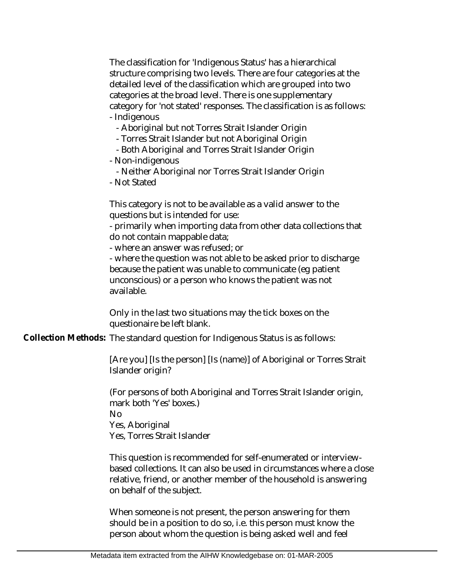The classification for 'Indigenous Status' has a hierarchical structure comprising two levels. There are four categories at the detailed level of the classification which are grouped into two categories at the broad level. There is one supplementary category for 'not stated' responses. The classification is as follows: - Indigenous

- Aboriginal but not Torres Strait Islander Origin

- Torres Strait Islander but not Aboriginal Origin

- Both Aboriginal and Torres Strait Islander Origin

- Non-indigenous

- Neither Aboriginal nor Torres Strait Islander Origin

- Not Stated

This category is not to be available as a valid answer to the questions but is intended for use:

- primarily when importing data from other data collections that do not contain mappable data;

- where an answer was refused; or

- where the question was not able to be asked prior to discharge because the patient was unable to communicate (eg patient unconscious) or a person who knows the patient was not available.

Only in the last two situations may the tick boxes on the questionaire be left blank.

Collection Methods: The standard question for Indigenous Status is as follows:

[Are you] [Is the person] [Is (name)] of Aboriginal or Torres Strait Islander origin?

(For persons of both Aboriginal and Torres Strait Islander origin, mark both 'Yes' boxes.) No

Yes, Aboriginal

Yes, Torres Strait Islander

This question is recommended for self-enumerated or interviewbased collections. It can also be used in circumstances where a close relative, friend, or another member of the household is answering on behalf of the subject.

When someone is not present, the person answering for them should be in a position to do so, i.e. this person must know the person about whom the question is being asked well and feel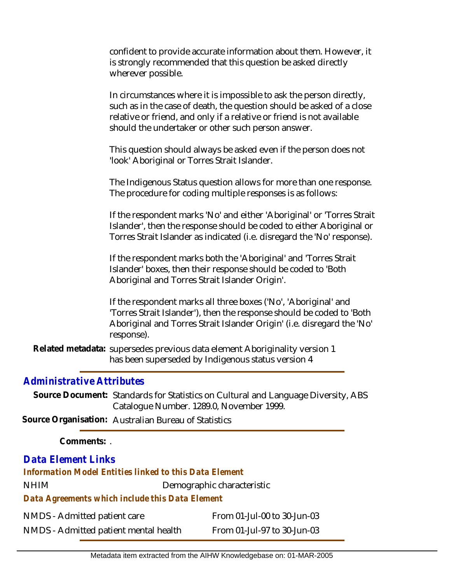confident to provide accurate information about them. However, it is strongly recommended that this question be asked directly wherever possible.

In circumstances where it is impossible to ask the person directly, such as in the case of death, the question should be asked of a close relative or friend, and only if a relative or friend is not available should the undertaker or other such person answer.

This question should always be asked even if the person does not 'look' Aboriginal or Torres Strait Islander.

The Indigenous Status question allows for more than one response. The procedure for coding multiple responses is as follows:

If the respondent marks 'No' and either 'Aboriginal' or 'Torres Strait Islander', then the response should be coded to either Aboriginal or Torres Strait Islander as indicated (i.e. disregard the 'No' response).

If the respondent marks both the 'Aboriginal' and 'Torres Strait Islander' boxes, then their response should be coded to 'Both Aboriginal and Torres Strait Islander Origin'.

If the respondent marks all three boxes ('No', 'Aboriginal' and 'Torres Strait Islander'), then the response should be coded to 'Both Aboriginal and Torres Strait Islander Origin' (i.e. disregard the 'No' response).

Related metadata: supersedes previous data element Aboriginality version 1 has been superseded by Indigenous status version 4

## *Administrative Attributes*

Source Document: Standards for Statistics on Cultural and Language Diversity, ABS Catalogue Number. 1289.0, November 1999.

**Source Organisation:** Australian Bureau of Statistics

**Comments:** .

## *Data Element Links*

*Information Model Entities linked to this Data Element*

NHIM Demographic characteristic

*Data Agreements which include this Data Element*

| NMDS - Admitted patient care          | From 01-Jul-00 to 30-Jun-03 |
|---------------------------------------|-----------------------------|
| NMDS - Admitted patient mental health | From 01-Jul-97 to 30-Jun-03 |